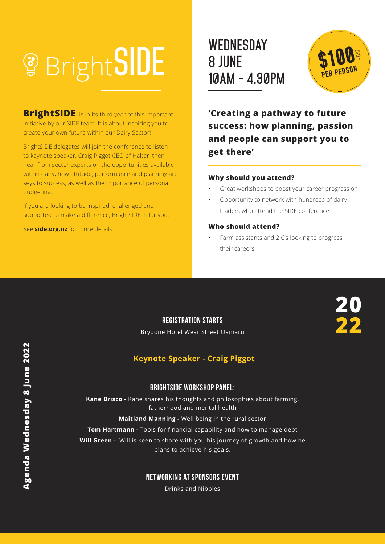# **10AM - 4.30PM**

**BrightSIDE** is in its third year of this important initiative by our SIDE team. It is about inspiring you to create your own future within our Dairy Sector!

BrightSIDE delegates will join the conference to listen to keynote speaker, Craig Piggot CEO of Halter, then hear from sector experts on the opportunities available within dairy, how attitude, performance and planning are keys to success, as well as the importance of personal budgeting.

If you are looking to be inspired, challenged and supported to make a difference, BrightSIDE is for you.

See **side.org.nz** for more details.

# **WEDNESDAY 8 JUNE**



**20**

**22**

**'Creating a pathway to future success: how planning, passion and people can support you to get there'**

#### **Why should you attend?**

- Great workshops to boost your career progression
- Opportunity to network with hundreds of dairy leaders who attend the SIDE conference

#### **Who should attend?**

• Farm assistants and 2IC's looking to progress their careers

# **Registration starts**

Brydone Hotel Wear Street Oamaru

# **Keynote Speaker - Craig Piggot**

#### BrightSIDE workshop panel:

**Kane Brisco -** Kane shares his thoughts and philosophies about farming, fatherhood and mental health

**Maitland Manning -** Well being in the rural sector

**Tom Hartmann -** Tools for financial capability and how to manage debt

**Will Green -** Will is keen to share with you his journey of growth and how he plans to achieve his goals.

### Networking at Sponsors event

Drinks and Nibbles